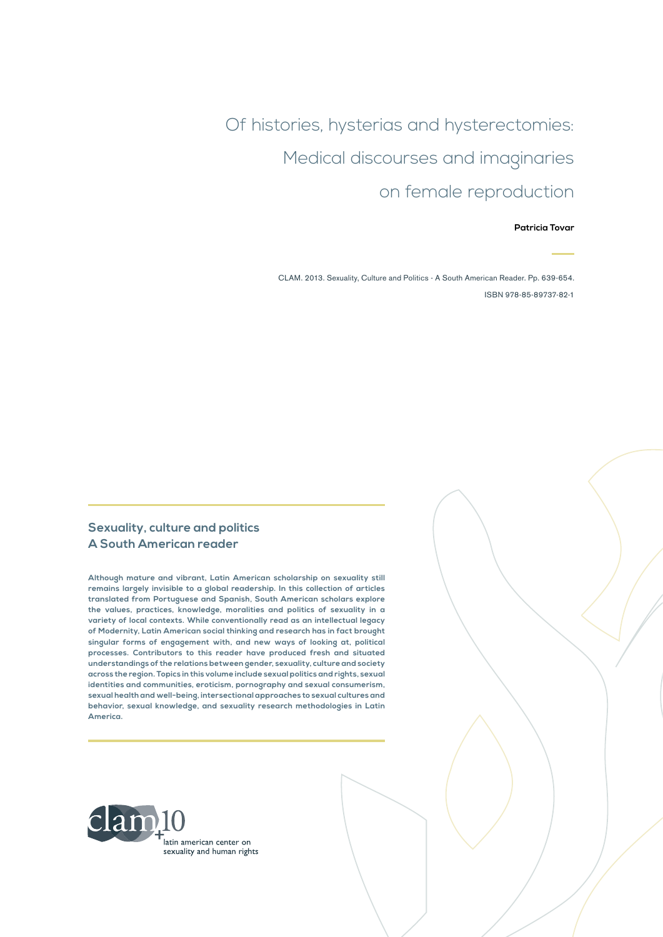Of histories, hysterias and hysterectomies: Medical discourses and imaginaries on female reproduction

**Patricia Tovar**

CLAM. 2013. Sexuality, Culture and Politics - A South American Reader. Pp. 639-654. ISBN 978-85-89737-82-1

#### **Sexuality, culture and politics A South American reader**

**Although mature and vibrant, Latin American scholarship on sexuality still remains largely invisible to a global readership. In this collection of articles translated from Portuguese and Spanish, South American scholars explore the values, practices, knowledge, moralities and politics of sexuality in a variety of local contexts. While conventionally read as an intellectual legacy of Modernity, Latin American social thinking and research has in fact brought singular forms of engagement with, and new ways of looking at, political processes. Contributors to this reader have produced fresh and situated understandings of the relations between gender, sexuality, culture and society across the region. Topics in this volume include sexual politics and rights, sexual identities and communities, eroticism, pornography and sexual consumerism, sexual health and well-being, intersectional approaches to sexual cultures and behavior, sexual knowledge, and sexuality research methodologies in Latin America.**

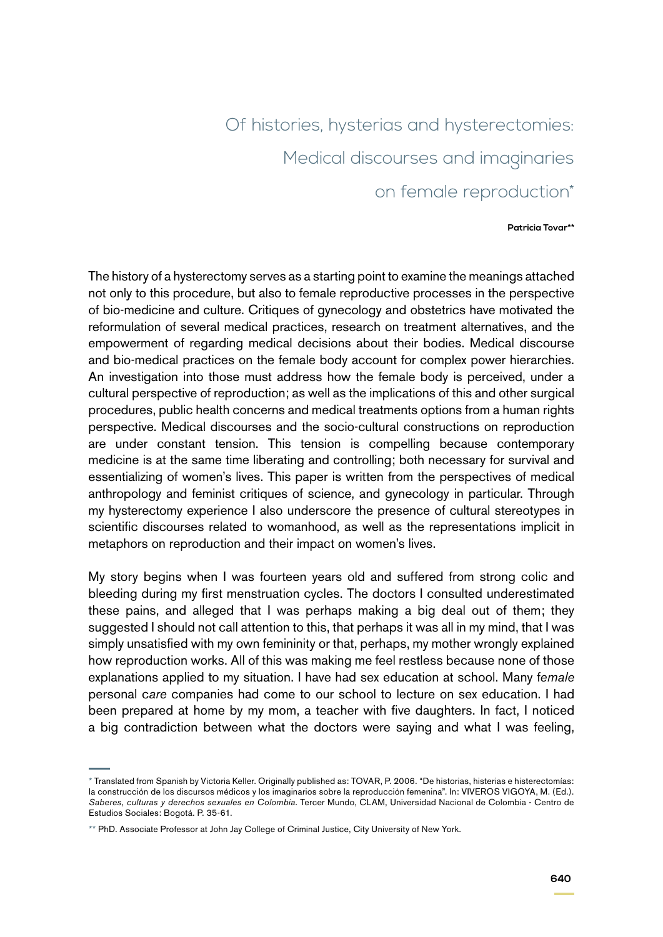# Of histories, hysterias and hysterectomies: Medical discourses and imaginaries on female reproduction\*

#### **Patricia Tovar\*\***

The history of a hysterectomy serves as a starting point to examine the meanings attached not only to this procedure, but also to female reproductive processes in the perspective of bio-medicine and culture. Critiques of gynecology and obstetrics have motivated the reformulation of several medical practices, research on treatment alternatives, and the empowerment of regarding medical decisions about their bodies. Medical discourse and bio-medical practices on the female body account for complex power hierarchies. An investigation into those must address how the female body is perceived, under a cultural perspective of reproduction; as well as the implications of this and other surgical procedures, public health concerns and medical treatments options from a human rights perspective. Medical discourses and the socio-cultural constructions on reproduction are under constant tension. This tension is compelling because contemporary medicine is at the same time liberating and controlling; both necessary for survival and essentializing of women's lives. This paper is written from the perspectives of medical anthropology and feminist critiques of science, and gynecology in particular. Through my hysterectomy experience I also underscore the presence of cultural stereotypes in scientific discourses related to womanhood, as well as the representations implicit in metaphors on reproduction and their impact on women's lives.

My story begins when I was fourteen years old and suffered from strong colic and bleeding during my first menstruation cycles. The doctors I consulted underestimated these pains, and alleged that I was perhaps making a big deal out of them; they suggested I should not call attention to this, that perhaps it was all in my mind, that I was simply unsatisfied with my own femininity or that, perhaps, my mother wrongly explained how reproduction works. All of this was making me feel restless because none of those explanations applied to my situation. I have had sex education at school. Many f*emale*  personal c*are* companies had come to our school to lecture on sex education. I had been prepared at home by my mom, a teacher with five daughters. In fact, I noticed a big contradiction between what the doctors were saying and what I was feeling,

<sup>\*</sup> Translated from Spanish by Victoria Keller. Originally published as: TOVAR, P. 2006. "De historias, histerias e histerectomías: la construcción de los discursos médicos y los imaginarios sobre la reproducción femenina". In: VIVEROS VIGOYA, M. (Ed.). *Saberes, culturas y derechos sexuales en Colombia*. Tercer Mundo, CLAM, Universidad Nacional de Colombia - Centro de Estudios Sociales: Bogotá. P. 35-61.

<sup>\*\*</sup> PhD. Associate Professor at John Jay College of Criminal Justice, City University of New York.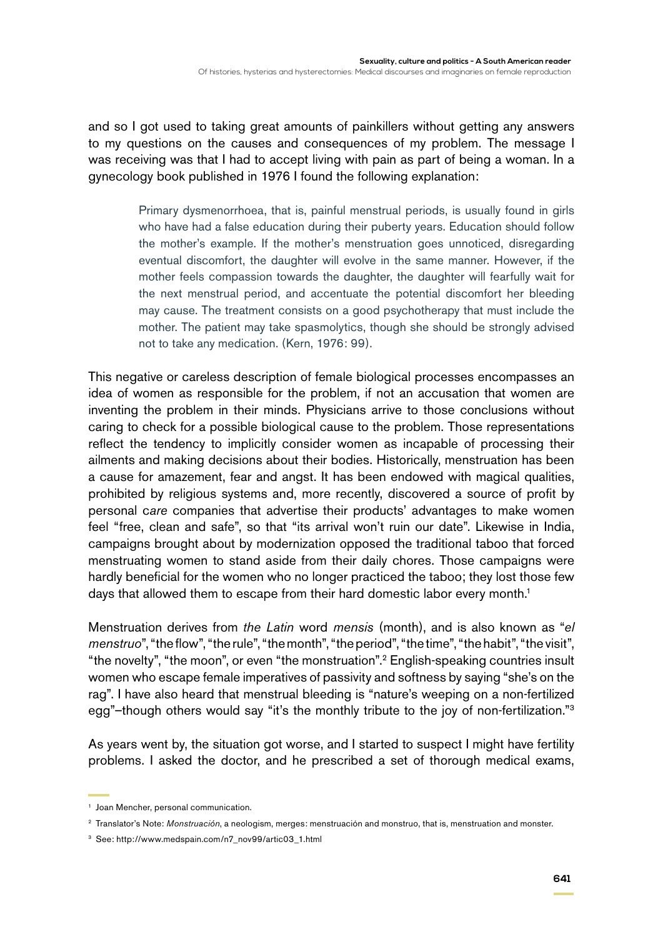and so I got used to taking great amounts of painkillers without getting any answers to my questions on the causes and consequences of my problem. The message I was receiving was that I had to accept living with pain as part of being a woman. In a gynecology book published in 1976 I found the following explanation:

> Primary dysmenorrhoea, that is, painful menstrual periods, is usually found in girls who have had a false education during their puberty years. Education should follow the mother's example. If the mother's menstruation goes unnoticed, disregarding eventual discomfort, the daughter will evolve in the same manner. However, if the mother feels compassion towards the daughter, the daughter will fearfully wait for the next menstrual period, and accentuate the potential discomfort her bleeding may cause. The treatment consists on a good psychotherapy that must include the mother. The patient may take spasmolytics, though she should be strongly advised not to take any medication. (Kern, 1976: 99).

This negative or careless description of female biological processes encompasses an idea of women as responsible for the problem, if not an accusation that women are inventing the problem in their minds. Physicians arrive to those conclusions without caring to check for a possible biological cause to the problem. Those representations reflect the tendency to implicitly consider women as incapable of processing their ailments and making decisions about their bodies. Historically, menstruation has been a cause for amazement, fear and angst. It has been endowed with magical qualities, prohibited by religious systems and, more recently, discovered a source of profit by personal c*are* companies that advertise their products' advantages to make women feel "free, clean and safe", so that "its arrival won't ruin our date". Likewise in India, campaigns brought about by modernization opposed the traditional taboo that forced menstruating women to stand aside from their daily chores. Those campaigns were hardly beneficial for the women who no longer practiced the taboo; they lost those few days that allowed them to escape from their hard domestic labor every month.<sup>1</sup>

Menstruation derives from *the Latin* word *mensis* (month), and is also known as "*el menstruo*", "the flow", "the rule", "the month", "the period", "the time", "the habit", "the visit", "the novelty", "the moon", or even "the monstruation".2 English-speaking countries insult women who escape female imperatives of passivity and softness by saying "she's on the rag". I have also heard that menstrual bleeding is "nature's weeping on a non-fertilized egg"-though others would say "it's the monthly tribute to the joy of non-fertilization."<sup>3</sup>

As years went by, the situation got worse, and I started to suspect I might have fertility problems. I asked the doctor, and he prescribed a set of thorough medical exams,

<sup>1</sup> Joan Mencher, personal communication.

<sup>2</sup> Translator's Note: *Monstruación*, a neologism, merges: menstruación and monstruo, that is, menstruation and monster.

<sup>3</sup> See: http://www.medspain.com/n7\_nov99/artic03\_1.html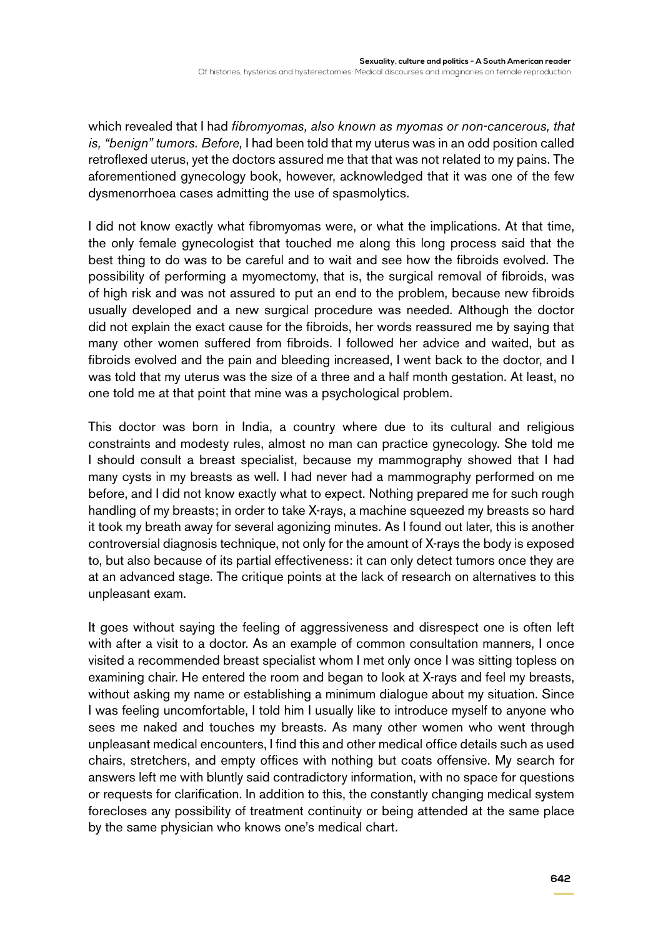which revealed that I had *fibromyomas, also known as myomas or non-cancerous, that is, "benign" tumors. Before,* I had been told that my uterus was in an odd position called retroflexed uterus, yet the doctors assured me that that was not related to my pains. The aforementioned gynecology book, however, acknowledged that it was one of the few dysmenorrhoea cases admitting the use of spasmolytics.

I did not know exactly what fibromyomas were, or what the implications. At that time, the only female gynecologist that touched me along this long process said that the best thing to do was to be careful and to wait and see how the fibroids evolved. The possibility of performing a myomectomy, that is, the surgical removal of fibroids, was of high risk and was not assured to put an end to the problem, because new fibroids usually developed and a new surgical procedure was needed. Although the doctor did not explain the exact cause for the fibroids, her words reassured me by saying that many other women suffered from fibroids. I followed her advice and waited, but as fibroids evolved and the pain and bleeding increased, I went back to the doctor, and I was told that my uterus was the size of a three and a half month gestation. At least, no one told me at that point that mine was a psychological problem.

This doctor was born in India, a country where due to its cultural and religious constraints and modesty rules, almost no man can practice gynecology. She told me I should consult a breast specialist, because my mammography showed that I had many cysts in my breasts as well. I had never had a mammography performed on me before, and I did not know exactly what to expect. Nothing prepared me for such rough handling of my breasts; in order to take X-rays, a machine squeezed my breasts so hard it took my breath away for several agonizing minutes. As I found out later, this is another controversial diagnosis technique, not only for the amount of X-rays the body is exposed to, but also because of its partial effectiveness: it can only detect tumors once they are at an advanced stage. The critique points at the lack of research on alternatives to this unpleasant exam.

It goes without saying the feeling of aggressiveness and disrespect one is often left with after a visit to a doctor. As an example of common consultation manners, I once visited a recommended breast specialist whom I met only once I was sitting topless on examining chair. He entered the room and began to look at X-rays and feel my breasts, without asking my name or establishing a minimum dialogue about my situation. Since I was feeling uncomfortable, I told him I usually like to introduce myself to anyone who sees me naked and touches my breasts. As many other women who went through unpleasant medical encounters, I find this and other medical office details such as used chairs, stretchers, and empty offices with nothing but coats offensive. My search for answers left me with bluntly said contradictory information, with no space for questions or requests for clarification. In addition to this, the constantly changing medical system forecloses any possibility of treatment continuity or being attended at the same place by the same physician who knows one's medical chart.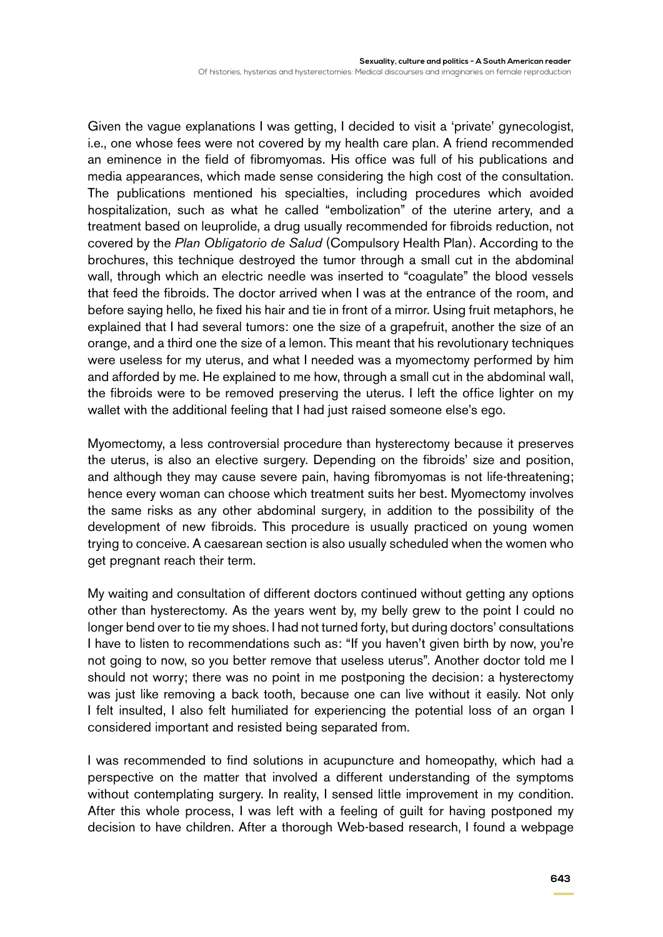Of histories, hysterias and hysterectomies: Medical discourses and imaginaries on female reproduction

Given the vague explanations I was getting, I decided to visit a 'private' gynecologist, i.e., one whose fees were not covered by my health care plan. A friend recommended an eminence in the field of fibromyomas. His office was full of his publications and media appearances, which made sense considering the high cost of the consultation. The publications mentioned his specialties, including procedures which avoided hospitalization, such as what he called "embolization" of the uterine artery, and a treatment based on leuprolide, a drug usually recommended for fibroids reduction, not covered by the *Plan Obligatorio de Salud* (Compulsory Health Plan). According to the brochures, this technique destroyed the tumor through a small cut in the abdominal wall, through which an electric needle was inserted to "coagulate" the blood vessels that feed the fibroids. The doctor arrived when I was at the entrance of the room, and before saying hello, he fixed his hair and tie in front of a mirror. Using fruit metaphors, he explained that I had several tumors: one the size of a grapefruit, another the size of an orange, and a third one the size of a lemon. This meant that his revolutionary techniques were useless for my uterus, and what I needed was a myomectomy performed by him and afforded by me. He explained to me how, through a small cut in the abdominal wall, the fibroids were to be removed preserving the uterus. I left the office lighter on my wallet with the additional feeling that I had just raised someone else's ego.

Myomectomy, a less controversial procedure than hysterectomy because it preserves the uterus, is also an elective surgery. Depending on the fibroids' size and position, and although they may cause severe pain, having fibromyomas is not life-threatening; hence every woman can choose which treatment suits her best. Myomectomy involves the same risks as any other abdominal surgery, in addition to the possibility of the development of new fibroids. This procedure is usually practiced on young women trying to conceive. A caesarean section is also usually scheduled when the women who get pregnant reach their term.

My waiting and consultation of different doctors continued without getting any options other than hysterectomy. As the years went by, my belly grew to the point I could no longer bend over to tie my shoes. I had not turned forty, but during doctors' consultations I have to listen to recommendations such as: "If you haven't given birth by now, you're not going to now, so you better remove that useless uterus". Another doctor told me I should not worry; there was no point in me postponing the decision: a hysterectomy was just like removing a back tooth, because one can live without it easily. Not only I felt insulted, I also felt humiliated for experiencing the potential loss of an organ I considered important and resisted being separated from.

I was recommended to find solutions in acupuncture and homeopathy, which had a perspective on the matter that involved a different understanding of the symptoms without contemplating surgery. In reality, I sensed little improvement in my condition. After this whole process, I was left with a feeling of guilt for having postponed my decision to have children. After a thorough Web-based research, I found a webpage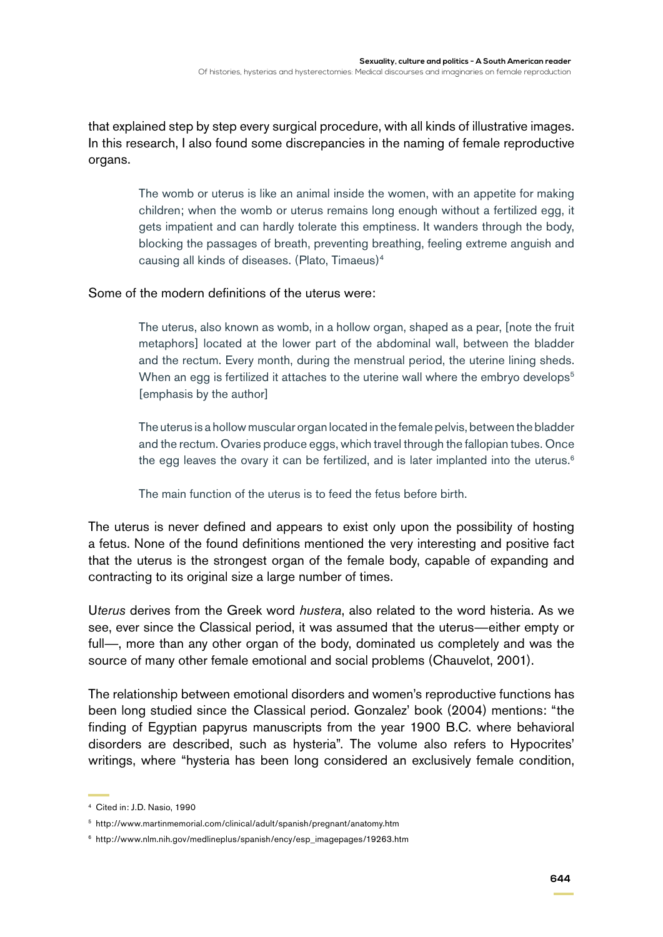that explained step by step every surgical procedure, with all kinds of illustrative images. In this research, I also found some discrepancies in the naming of female reproductive organs.

> The womb or uterus is like an animal inside the women, with an appetite for making children; when the womb or uterus remains long enough without a fertilized egg, it gets impatient and can hardly tolerate this emptiness. It wanders through the body, blocking the passages of breath, preventing breathing, feeling extreme anguish and causing all kinds of diseases. (Plato, Timaeus)4

## Some of the modern definitions of the uterus were:

The uterus, also known as womb, in a hollow organ, shaped as a pear, [note the fruit metaphors] located at the lower part of the abdominal wall, between the bladder and the rectum. Every month, during the menstrual period, the uterine lining sheds. When an egg is fertilized it attaches to the uterine wall where the embryo develops<sup>5</sup> [emphasis by the author]

The uterus is a hollow muscular organ located in the female pelvis, between the bladder and the rectum. Ovaries produce eggs, which travel through the fallopian tubes. Once the egg leaves the ovary it can be fertilized, and is later implanted into the uterus. $6$ 

The main function of the uterus is to feed the fetus before birth.

The uterus is never defined and appears to exist only upon the possibility of hosting a fetus. None of the found definitions mentioned the very interesting and positive fact that the uterus is the strongest organ of the female body, capable of expanding and contracting to its original size a large number of times.

U*terus* derives from the Greek word *hustera*, also related to the word histeria. As we see, ever since the Classical period, it was assumed that the uterus—either empty or full—, more than any other organ of the body, dominated us completely and was the source of many other female emotional and social problems (Chauvelot, 2001).

The relationship between emotional disorders and women's reproductive functions has been long studied since the Classical period. Gonzalez' book (2004) mentions: "the finding of Egyptian papyrus manuscripts from the year 1900 B.C. where behavioral disorders are described, such as hysteria". The volume also refers to Hypocrites' writings, where "hysteria has been long considered an exclusively female condition,

<sup>4</sup> Cited in: J.D. Nasio, 1990

<sup>5</sup> http://www.martinmemorial.com/clinical/adult/spanish/pregnant/anatomy.htm

<sup>6</sup> http://www.nlm.nih.gov/medlineplus/spanish/ency/esp\_imagepages/19263.htm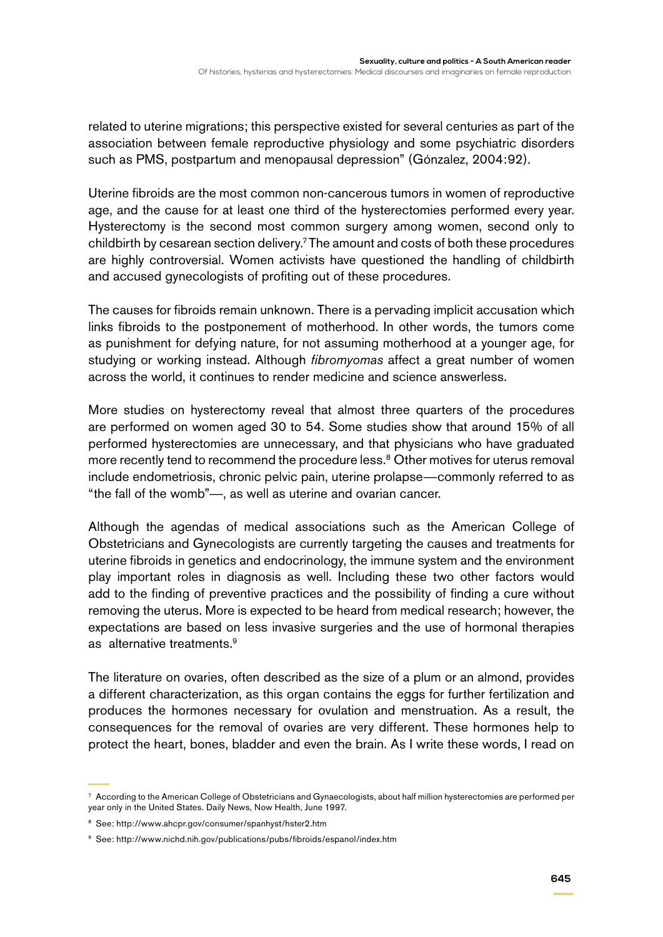related to uterine migrations; this perspective existed for several centuries as part of the association between female reproductive physiology and some psychiatric disorders such as PMS, postpartum and menopausal depression" (Gónzalez, 2004:92).

Uterine fibroids are the most common non-cancerous tumors in women of reproductive age, and the cause for at least one third of the hysterectomies performed every year. Hysterectomy is the second most common surgery among women, second only to childbirth by cesarean section delivery.7 The amount and costs of both these procedures are highly controversial. Women activists have questioned the handling of childbirth and accused gynecologists of profiting out of these procedures.

The causes for fibroids remain unknown. There is a pervading implicit accusation which links fibroids to the postponement of motherhood. In other words, the tumors come as punishment for defying nature, for not assuming motherhood at a younger age, for studying or working instead. Although *fibromyomas* affect a great number of women across the world, it continues to render medicine and science answerless.

More studies on hysterectomy reveal that almost three quarters of the procedures are performed on women aged 30 to 54. Some studies show that around 15% of all performed hysterectomies are unnecessary, and that physicians who have graduated more recently tend to recommend the procedure less.<sup>8</sup> Other motives for uterus removal include endometriosis, chronic pelvic pain, uterine prolapse—commonly referred to as "the fall of the womb"—, as well as uterine and ovarian cancer.

Although the agendas of medical associations such as the American College of Obstetricians and Gynecologists are currently targeting the causes and treatments for uterine fibroids in genetics and endocrinology, the immune system and the environment play important roles in diagnosis as well. Including these two other factors would add to the finding of preventive practices and the possibility of finding a cure without removing the uterus. More is expected to be heard from medical research; however, the expectations are based on less invasive surgeries and the use of hormonal therapies as alternative treatments.<sup>9</sup>

The literature on ovaries, often described as the size of a plum or an almond, provides a different characterization, as this organ contains the eggs for further fertilization and produces the hormones necessary for ovulation and menstruation. As a result, the consequences for the removal of ovaries are very different. These hormones help to protect the heart, bones, bladder and even the brain. As I write these words, I read on

 $7$  According to the American College of Obstetricians and Gynaecologists, about half million hysterectomies are performed per year only in the United States. Daily News, Now Health, June 1997.

<sup>8</sup> See: http://www.ahcpr.gov/consumer/spanhyst/hster2.htm

<sup>9</sup> See: http://www.nichd.nih.gov/publications/pubs/fibroids/espanol/index.htm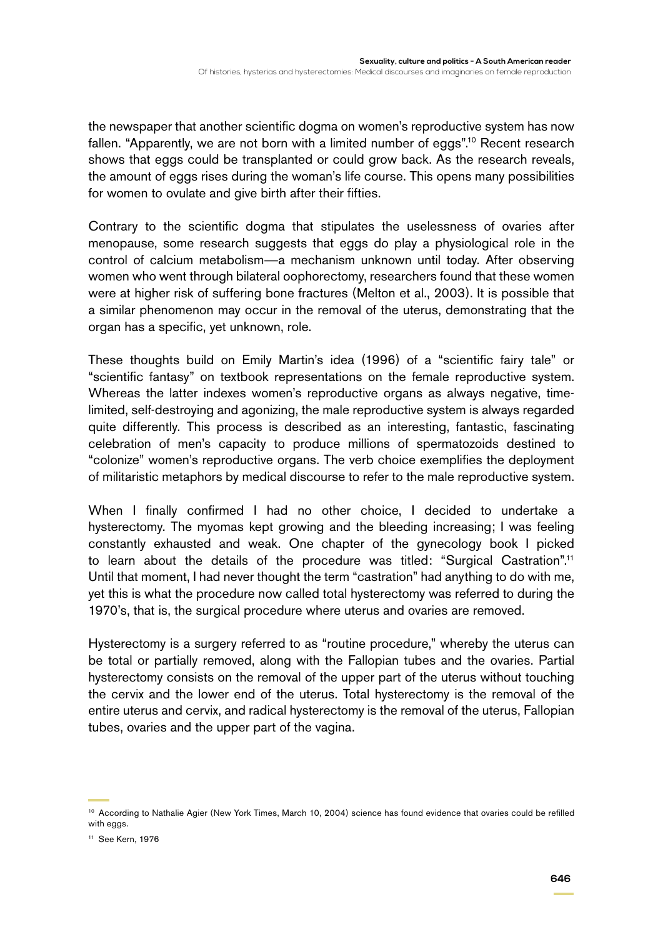the newspaper that another scientific dogma on women's reproductive system has now fallen. "Apparently, we are not born with a limited number of eggs".<sup>10</sup> Recent research shows that eggs could be transplanted or could grow back. As the research reveals, the amount of eggs rises during the woman's life course. This opens many possibilities for women to ovulate and give birth after their fifties.

Contrary to the scientific dogma that stipulates the uselessness of ovaries after menopause, some research suggests that eggs do play a physiological role in the control of calcium metabolism—a mechanism unknown until today. After observing women who went through bilateral oophorectomy, researchers found that these women were at higher risk of suffering bone fractures (Melton et al., 2003). It is possible that a similar phenomenon may occur in the removal of the uterus, demonstrating that the organ has a specific, yet unknown, role.

These thoughts build on Emily Martin's idea (1996) of a "scientific fairy tale" or "scientific fantasy" on textbook representations on the female reproductive system. Whereas the latter indexes women's reproductive organs as always negative, timelimited, self-destroying and agonizing, the male reproductive system is always regarded quite differently. This process is described as an interesting, fantastic, fascinating celebration of men's capacity to produce millions of spermatozoids destined to "colonize" women's reproductive organs. The verb choice exemplifies the deployment of militaristic metaphors by medical discourse to refer to the male reproductive system.

When I finally confirmed I had no other choice, I decided to undertake a hysterectomy. The myomas kept growing and the bleeding increasing; I was feeling constantly exhausted and weak. One chapter of the gynecology book I picked to learn about the details of the procedure was titled: "Surgical Castration".11 Until that moment, I had never thought the term "castration" had anything to do with me, yet this is what the procedure now called total hysterectomy was referred to during the 1970's, that is, the surgical procedure where uterus and ovaries are removed.

Hysterectomy is a surgery referred to as "routine procedure," whereby the uterus can be total or partially removed, along with the Fallopian tubes and the ovaries. Partial hysterectomy consists on the removal of the upper part of the uterus without touching the cervix and the lower end of the uterus. Total hysterectomy is the removal of the entire uterus and cervix, and radical hysterectomy is the removal of the uterus, Fallopian tubes, ovaries and the upper part of the vagina.

<sup>&</sup>lt;sup>10</sup> According to Nathalie Agier (New York Times, March 10, 2004) science has found evidence that ovaries could be refilled with eggs.

<sup>11</sup> See Kern, 1976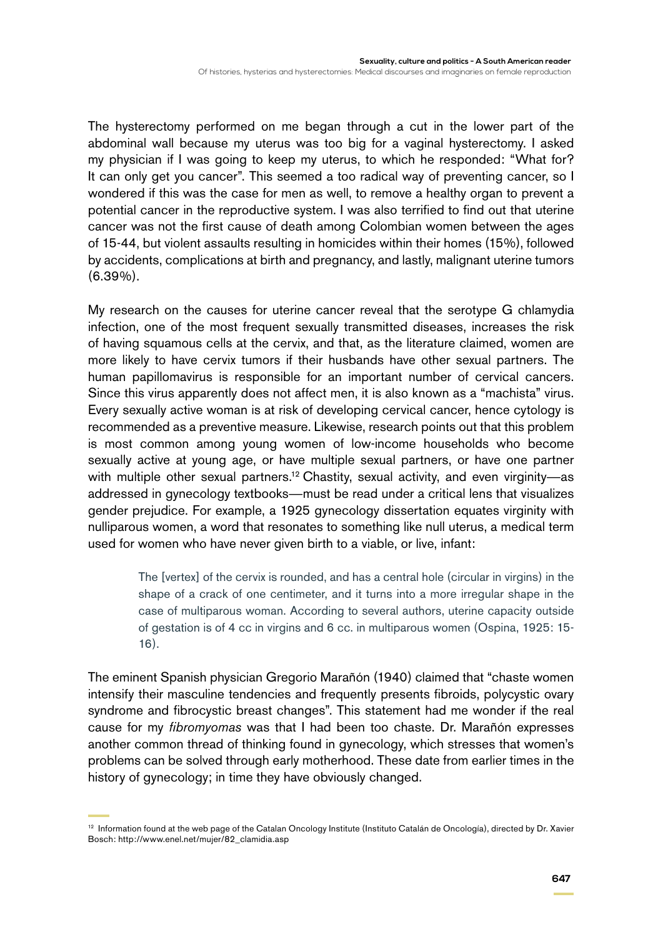The hysterectomy performed on me began through a cut in the lower part of the abdominal wall because my uterus was too big for a vaginal hysterectomy. I asked my physician if I was going to keep my uterus, to which he responded: "What for? It can only get you cancer". This seemed a too radical way of preventing cancer, so I wondered if this was the case for men as well, to remove a healthy organ to prevent a potential cancer in the reproductive system. I was also terrified to find out that uterine cancer was not the first cause of death among Colombian women between the ages of 15-44, but violent assaults resulting in homicides within their homes (15%), followed by accidents, complications at birth and pregnancy, and lastly, malignant uterine tumors (6.39%).

My research on the causes for uterine cancer reveal that the serotype G chlamydia infection, one of the most frequent sexually transmitted diseases, increases the risk of having squamous cells at the cervix, and that, as the literature claimed, women are more likely to have cervix tumors if their husbands have other sexual partners. The human papillomavirus is responsible for an important number of cervical cancers. Since this virus apparently does not affect men, it is also known as a "machista" virus. Every sexually active woman is at risk of developing cervical cancer, hence cytology is recommended as a preventive measure. Likewise, research points out that this problem is most common among young women of low-income households who become sexually active at young age, or have multiple sexual partners, or have one partner with multiple other sexual partners.<sup>12</sup> Chastity, sexual activity, and even virginity—as addressed in gynecology textbooks—must be read under a critical lens that visualizes gender prejudice. For example, a 1925 gynecology dissertation equates virginity with nulliparous women, a word that resonates to something like null uterus, a medical term used for women who have never given birth to a viable, or live, infant:

> The [vertex] of the cervix is rounded, and has a central hole (circular in virgins) in the shape of a crack of one centimeter, and it turns into a more irregular shape in the case of multiparous woman. According to several authors, uterine capacity outside of gestation is of 4 cc in virgins and 6 cc. in multiparous women (Ospina, 1925: 15- 16).

The eminent Spanish physician Gregorio Marañón (1940) claimed that "chaste women intensify their masculine tendencies and frequently presents fibroids, polycystic ovary syndrome and fibrocystic breast changes". This statement had me wonder if the real cause for my *fibromyomas* was that I had been too chaste. Dr. Marañón expresses another common thread of thinking found in gynecology, which stresses that women's problems can be solved through early motherhood. These date from earlier times in the history of gynecology; in time they have obviously changed.

<sup>&</sup>lt;sup>12</sup> Information found at the web page of the Catalan Oncology Institute (Instituto Catalán de Oncología), directed by Dr. Xavier Bosch: http://www.enel.net/mujer/82\_clamidia.asp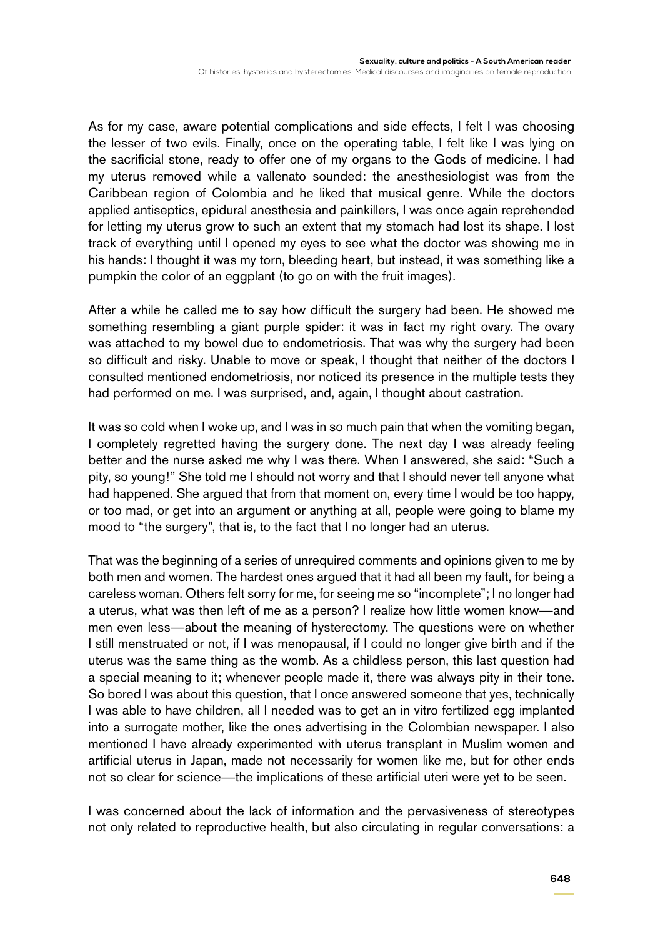As for my case, aware potential complications and side effects, I felt I was choosing the lesser of two evils. Finally, once on the operating table, I felt like I was lying on the sacrificial stone, ready to offer one of my organs to the Gods of medicine. I had my uterus removed while a vallenato sounded: the anesthesiologist was from the Caribbean region of Colombia and he liked that musical genre. While the doctors applied antiseptics, epidural anesthesia and painkillers, I was once again reprehended for letting my uterus grow to such an extent that my stomach had lost its shape. I lost track of everything until I opened my eyes to see what the doctor was showing me in his hands: I thought it was my torn, bleeding heart, but instead, it was something like a pumpkin the color of an eggplant (to go on with the fruit images).

After a while he called me to say how difficult the surgery had been. He showed me something resembling a giant purple spider: it was in fact my right ovary. The ovary was attached to my bowel due to endometriosis. That was why the surgery had been so difficult and risky. Unable to move or speak, I thought that neither of the doctors I consulted mentioned endometriosis, nor noticed its presence in the multiple tests they had performed on me. I was surprised, and, again, I thought about castration.

It was so cold when I woke up, and I was in so much pain that when the vomiting began, I completely regretted having the surgery done. The next day I was already feeling better and the nurse asked me why I was there. When I answered, she said: "Such a pity, so young!" She told me I should not worry and that I should never tell anyone what had happened. She argued that from that moment on, every time I would be too happy, or too mad, or get into an argument or anything at all, people were going to blame my mood to "the surgery", that is, to the fact that I no longer had an uterus.

That was the beginning of a series of unrequired comments and opinions given to me by both men and women. The hardest ones argued that it had all been my fault, for being a careless woman. Others felt sorry for me, for seeing me so "incomplete"; I no longer had a uterus, what was then left of me as a person? I realize how little women know—and men even less—about the meaning of hysterectomy. The questions were on whether I still menstruated or not, if I was menopausal, if I could no longer give birth and if the uterus was the same thing as the womb. As a childless person, this last question had a special meaning to it; whenever people made it, there was always pity in their tone. So bored I was about this question, that I once answered someone that yes, technically I was able to have children, all I needed was to get an in vitro fertilized egg implanted into a surrogate mother, like the ones advertising in the Colombian newspaper. I also mentioned I have already experimented with uterus transplant in Muslim women and artificial uterus in Japan, made not necessarily for women like me, but for other ends not so clear for science—the implications of these artificial uteri were yet to be seen.

I was concerned about the lack of information and the pervasiveness of stereotypes not only related to reproductive health, but also circulating in regular conversations: a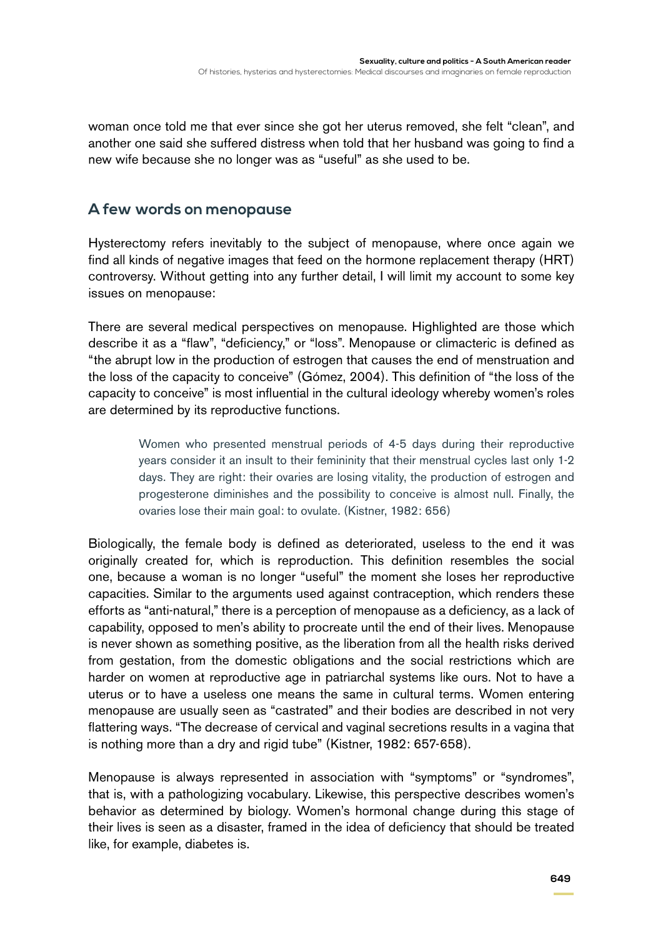woman once told me that ever since she got her uterus removed, she felt "clean", and another one said she suffered distress when told that her husband was going to find a new wife because she no longer was as "useful" as she used to be.

## **A few words on menopause**

Hysterectomy refers inevitably to the subject of menopause, where once again we find all kinds of negative images that feed on the hormone replacement therapy (HRT) controversy. Without getting into any further detail, I will limit my account to some key issues on menopause:

There are several medical perspectives on menopause. Highlighted are those which describe it as a "flaw", "deficiency," or "loss". Menopause or climacteric is defined as "the abrupt low in the production of estrogen that causes the end of menstruation and the loss of the capacity to conceive" (Gómez, 2004). This definition of "the loss of the capacity to conceive" is most influential in the cultural ideology whereby women's roles are determined by its reproductive functions.

> Women who presented menstrual periods of 4-5 days during their reproductive years consider it an insult to their femininity that their menstrual cycles last only 1-2 days. They are right: their ovaries are losing vitality, the production of estrogen and progesterone diminishes and the possibility to conceive is almost null. Finally, the ovaries lose their main goal: to ovulate. (Kistner, 1982: 656)

Biologically, the female body is defined as deteriorated, useless to the end it was originally created for, which is reproduction. This definition resembles the social one, because a woman is no longer "useful" the moment she loses her reproductive capacities. Similar to the arguments used against contraception, which renders these efforts as "anti-natural," there is a perception of menopause as a deficiency, as a lack of capability, opposed to men's ability to procreate until the end of their lives. Menopause is never shown as something positive, as the liberation from all the health risks derived from gestation, from the domestic obligations and the social restrictions which are harder on women at reproductive age in patriarchal systems like ours. Not to have a uterus or to have a useless one means the same in cultural terms. Women entering menopause are usually seen as "castrated" and their bodies are described in not very flattering ways. "The decrease of cervical and vaginal secretions results in a vagina that is nothing more than a dry and rigid tube" (Kistner, 1982: 657-658).

Menopause is always represented in association with "symptoms" or "syndromes", that is, with a pathologizing vocabulary. Likewise, this perspective describes women's behavior as determined by biology. Women's hormonal change during this stage of their lives is seen as a disaster, framed in the idea of deficiency that should be treated like, for example, diabetes is.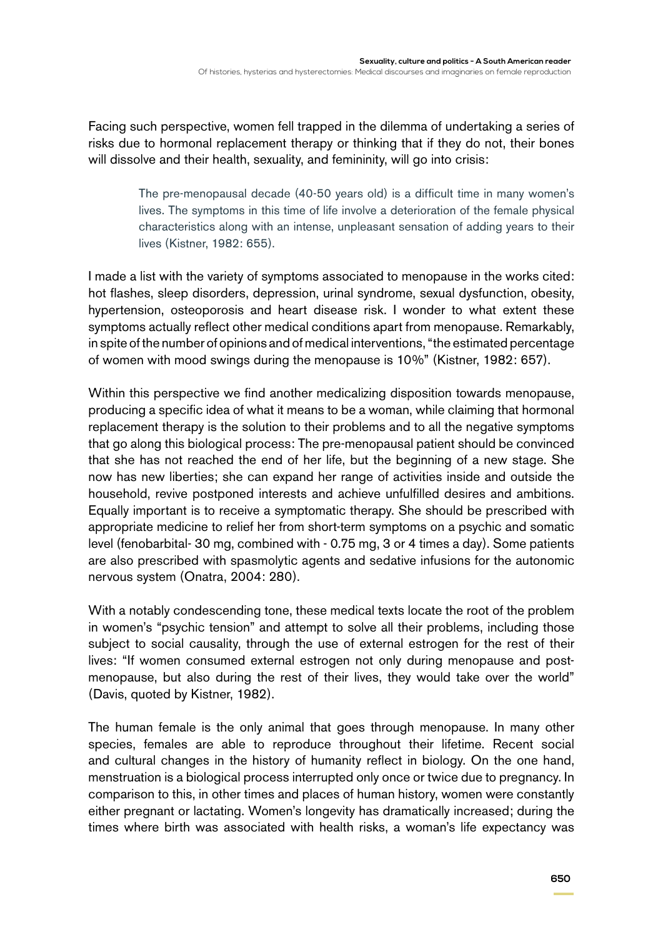Facing such perspective, women fell trapped in the dilemma of undertaking a series of risks due to hormonal replacement therapy or thinking that if they do not, their bones will dissolve and their health, sexuality, and femininity, will go into crisis:

> The pre-menopausal decade (40-50 years old) is a difficult time in many women's lives. The symptoms in this time of life involve a deterioration of the female physical characteristics along with an intense, unpleasant sensation of adding years to their lives (Kistner, 1982: 655).

I made a list with the variety of symptoms associated to menopause in the works cited: hot flashes, sleep disorders, depression, urinal syndrome, sexual dysfunction, obesity, hypertension, osteoporosis and heart disease risk. I wonder to what extent these symptoms actually reflect other medical conditions apart from menopause. Remarkably, in spite of the number of opinions and of medical interventions, "the estimated percentage of women with mood swings during the menopause is 10%" (Kistner, 1982: 657).

Within this perspective we find another medicalizing disposition towards menopause, producing a specific idea of what it means to be a woman, while claiming that hormonal replacement therapy is the solution to their problems and to all the negative symptoms that go along this biological process: The pre-menopausal patient should be convinced that she has not reached the end of her life, but the beginning of a new stage. She now has new liberties; she can expand her range of activities inside and outside the household, revive postponed interests and achieve unfulfilled desires and ambitions. Equally important is to receive a symptomatic therapy. She should be prescribed with appropriate medicine to relief her from short-term symptoms on a psychic and somatic level (fenobarbital- 30 mg, combined with - 0.75 mg, 3 or 4 times a day). Some patients are also prescribed with spasmolytic agents and sedative infusions for the autonomic nervous system (Onatra, 2004: 280).

With a notably condescending tone, these medical texts locate the root of the problem in women's "psychic tension" and attempt to solve all their problems, including those subject to social causality, through the use of external estrogen for the rest of their lives: "If women consumed external estrogen not only during menopause and postmenopause, but also during the rest of their lives, they would take over the world" (Davis, quoted by Kistner, 1982).

The human female is the only animal that goes through menopause. In many other species, females are able to reproduce throughout their lifetime. Recent social and cultural changes in the history of humanity reflect in biology. On the one hand, menstruation is a biological process interrupted only once or twice due to pregnancy. In comparison to this, in other times and places of human history, women were constantly either pregnant or lactating. Women's longevity has dramatically increased; during the times where birth was associated with health risks, a woman's life expectancy was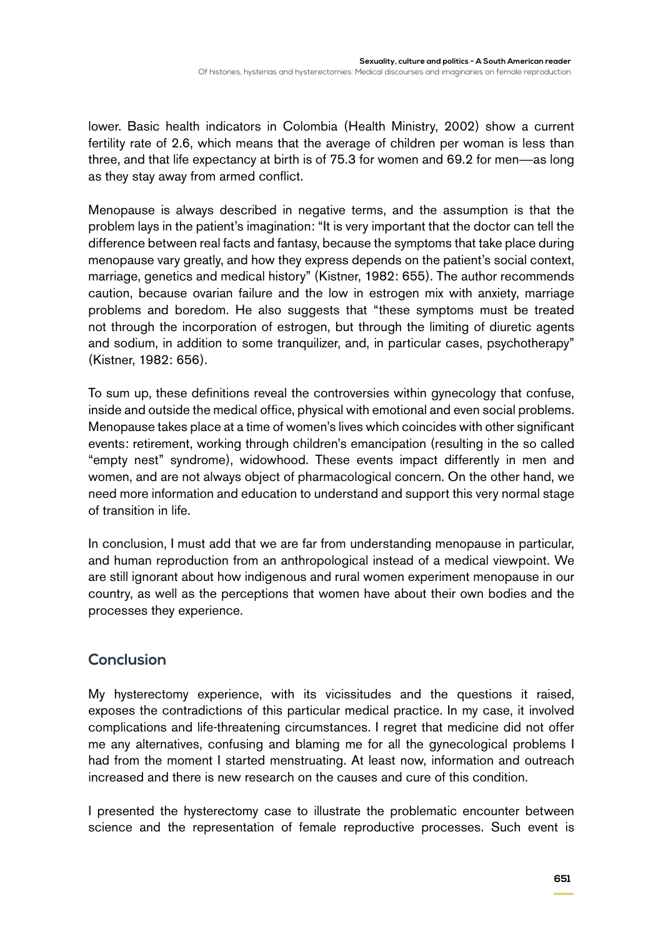lower. Basic health indicators in Colombia (Health Ministry, 2002) show a current fertility rate of 2.6, which means that the average of children per woman is less than three, and that life expectancy at birth is of 75.3 for women and 69.2 for men—as long as they stay away from armed conflict.

Menopause is always described in negative terms, and the assumption is that the problem lays in the patient's imagination: "It is very important that the doctor can tell the difference between real facts and fantasy, because the symptoms that take place during menopause vary greatly, and how they express depends on the patient's social context, marriage, genetics and medical history" (Kistner, 1982: 655). The author recommends caution, because ovarian failure and the low in estrogen mix with anxiety, marriage problems and boredom. He also suggests that "these symptoms must be treated not through the incorporation of estrogen, but through the limiting of diuretic agents and sodium, in addition to some tranquilizer, and, in particular cases, psychotherapy" (Kistner, 1982: 656).

To sum up, these definitions reveal the controversies within gynecology that confuse, inside and outside the medical office, physical with emotional and even social problems. Menopause takes place at a time of women's lives which coincides with other significant events: retirement, working through children's emancipation (resulting in the so called "empty nest" syndrome), widowhood. These events impact differently in men and women, and are not always object of pharmacological concern. On the other hand, we need more information and education to understand and support this very normal stage of transition in life.

In conclusion, I must add that we are far from understanding menopause in particular, and human reproduction from an anthropological instead of a medical viewpoint. We are still ignorant about how indigenous and rural women experiment menopause in our country, as well as the perceptions that women have about their own bodies and the processes they experience.

# **Conclusion**

My hysterectomy experience, with its vicissitudes and the questions it raised, exposes the contradictions of this particular medical practice. In my case, it involved complications and life-threatening circumstances. I regret that medicine did not offer me any alternatives, confusing and blaming me for all the gynecological problems I had from the moment I started menstruating. At least now, information and outreach increased and there is new research on the causes and cure of this condition.

I presented the hysterectomy case to illustrate the problematic encounter between science and the representation of female reproductive processes. Such event is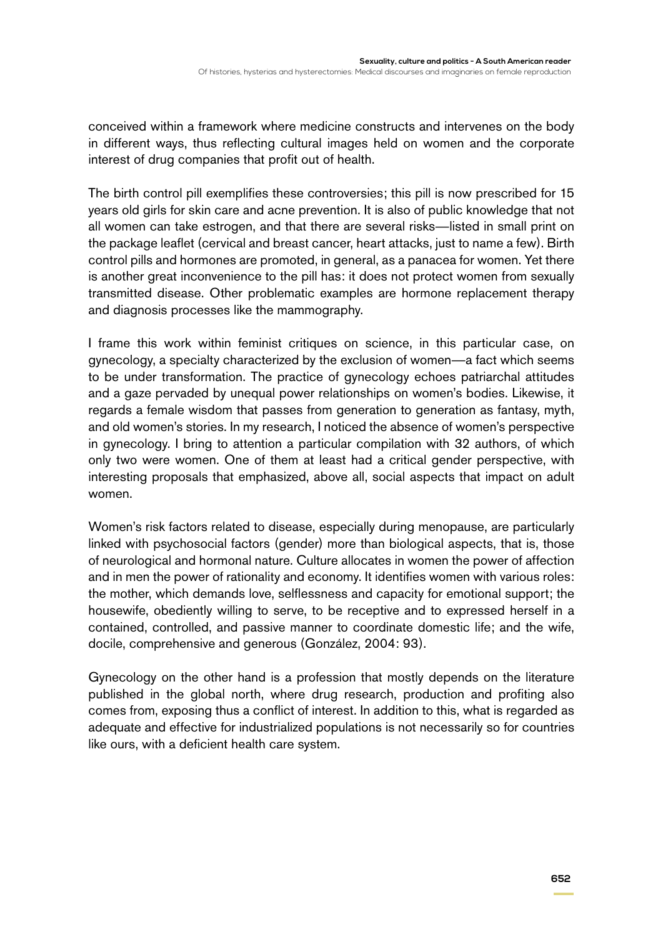conceived within a framework where medicine constructs and intervenes on the body in different ways, thus reflecting cultural images held on women and the corporate interest of drug companies that profit out of health.

The birth control pill exemplifies these controversies; this pill is now prescribed for 15 years old girls for skin care and acne prevention. It is also of public knowledge that not all women can take estrogen, and that there are several risks—listed in small print on the package leaflet (cervical and breast cancer, heart attacks, just to name a few). Birth control pills and hormones are promoted, in general, as a panacea for women. Yet there is another great inconvenience to the pill has: it does not protect women from sexually transmitted disease. Other problematic examples are hormone replacement therapy and diagnosis processes like the mammography.

I frame this work within feminist critiques on science, in this particular case, on gynecology, a specialty characterized by the exclusion of women—a fact which seems to be under transformation. The practice of gynecology echoes patriarchal attitudes and a gaze pervaded by unequal power relationships on women's bodies. Likewise, it regards a female wisdom that passes from generation to generation as fantasy, myth, and old women's stories. In my research, I noticed the absence of women's perspective in gynecology. I bring to attention a particular compilation with 32 authors, of which only two were women. One of them at least had a critical gender perspective, with interesting proposals that emphasized, above all, social aspects that impact on adult women.

Women's risk factors related to disease, especially during menopause, are particularly linked with psychosocial factors (gender) more than biological aspects, that is, those of neurological and hormonal nature. Culture allocates in women the power of affection and in men the power of rationality and economy. It identifies women with various roles: the mother, which demands love, selflessness and capacity for emotional support; the housewife, obediently willing to serve, to be receptive and to expressed herself in a contained, controlled, and passive manner to coordinate domestic life; and the wife, docile, comprehensive and generous (González, 2004: 93).

Gynecology on the other hand is a profession that mostly depends on the literature published in the global north, where drug research, production and profiting also comes from, exposing thus a conflict of interest. In addition to this, what is regarded as adequate and effective for industrialized populations is not necessarily so for countries like ours, with a deficient health care system.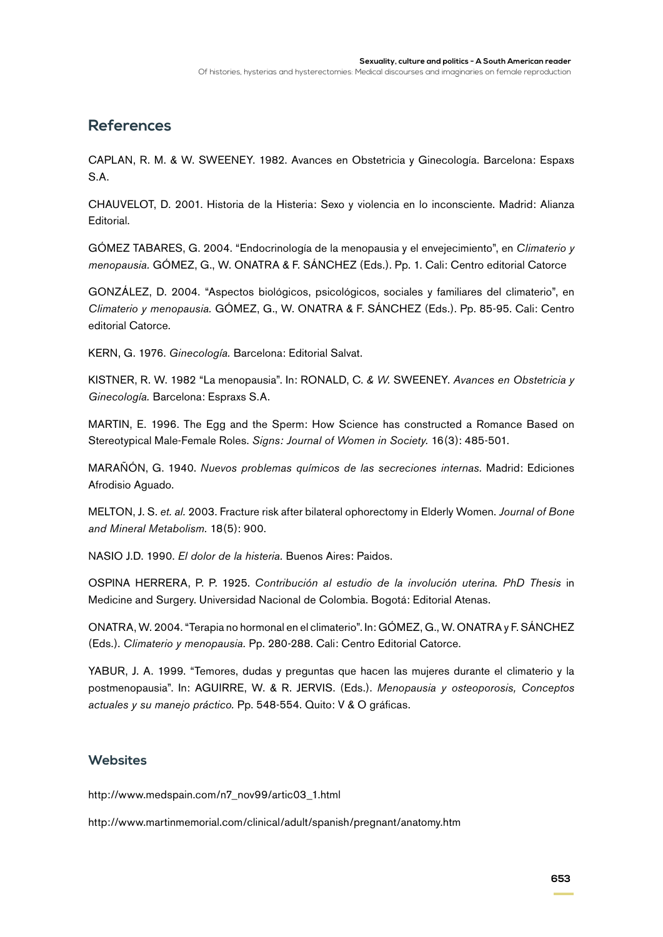# **References**

Caplan, R. M. & W. Sweeney. 1982. Avances en Obstetricia y Ginecología. Barcelona: Espaxs S.A.

Chauvelot, D. 2001. Historia de la Histeria: Sexo y violencia en lo inconsciente. Madrid: Alianza Editorial.

Gómez Tabares, G. 2004. "Endocrinología de la menopausia y el envejecimiento", en *Climaterio y menopausia.* Gómez, G., W. Onatra & F. Sánchez (Eds.). Pp. 1. Cali: Centro editorial Catorce

González, D. 2004. "Aspectos biológicos, psicológicos, sociales y familiares del climaterio", en *Climaterio y menopausia.* Gómez, G., W. Onatra & F. Sánchez (Eds.). Pp. 85-95. Cali: Centro editorial Catorce.

Kern, G. 1976. *Ginecología.* Barcelona: Editorial Salvat.

Kistner, R. W. 1982 "La menopausia". In: Ronald, C. *& W.* Sweeney. *Avances en Obstetricia y Ginecología.* Barcelona: Espraxs S.A.

Martin, E. 1996. The Egg and the Sperm: How Science has constructed a Romance Based on Stereotypical Male-Female Roles. *Signs: Journal of Women in Society.* 16(3): 485-501.

Marañón, G. 1940. *Nuevos problemas químicos de las secreciones internas.* Madrid: Ediciones Afrodisio Aguado.

Melton, J. S. *et. al.* 2003. Fracture risk after bilateral ophorectomy in Elderly Women. *Journal of Bone and Mineral Metabolism.* 18(5): 900.

Nasio J.D. 1990. *El dolor de la histeria.* Buenos Aires: Paidos.

Ospina Herrera, P. P. 1925. *Contribución al estudio de la involución uterina. PhD Thesis* in Medicine and Surgery. Universidad Nacional de Colombia. Bogotá: Editorial Atenas.

Onatra, W. 2004. "Terapia no hormonal en el climaterio". In: Gómez, G., W. Onatra y F. Sánchez (Eds.). *Climaterio y menopausia.* Pp. 280-288. Cali: Centro Editorial Catorce.

YABUR, J. A. 1999. "Temores, dudas y preguntas que hacen las mujeres durante el climaterio y la postmenopausia". In: AGUIRRE, W. & R. JERVIS. (Eds.). *Menopausia y osteoporosis, Conceptos actuales y su manejo práctico.* Pp. 548-554. Quito: V & O gráficas.

### **Websites**

http://www.medspain.com/n7\_nov99/artic03\_1.html

http://www.martinmemorial.com/clinical/adult/spanish/pregnant/anatomy.htm